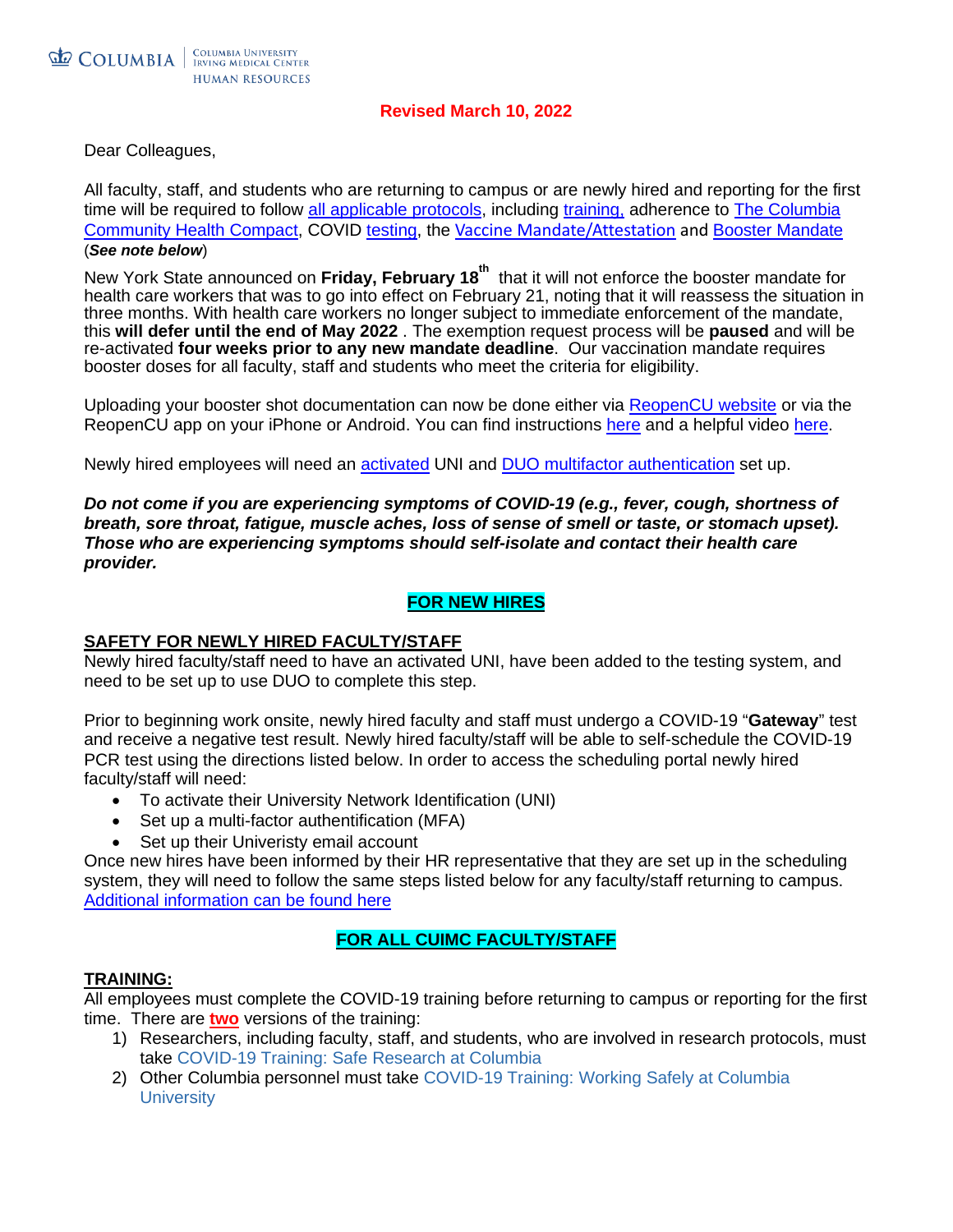#### **Revised March 10, 2022**

Dear Colleagues,

All faculty, staff, and students who are returning to campus or are newly hired and reporting for the first time will be required to follow [all applicable protocols,](https://covid19.columbia.edu/content/i-need-information-about) including [training,](https://covid19.columbia.edu/content/safety-training) adherence to The Columbia [Community Health Compact,](https://covid19.columbia.edu/health-compact) COVID [testing,](https://covid19.columbia.edu/content/covid-19-testing-process) the [Vaccine Mandate/Attestation](https://covid19.columbia.edu/news/vaccine-mandate-update-faculty-researchers-and-staff) and [Booster Mandate](https://covid19.columbia.edu/content/booster-mandate-compliance) (*See note below*)

New York State announced on **Friday, February 18th** that it will not enforce the booster mandate for health care workers that was to go into effect on February 21, noting that it will reassess the situation in three months. With health care workers no longer subject to immediate enforcement of the mandate, this **will defer until the end of May 2022** . The exemption request process will be **paused** and will be re-activated **four weeks prior to any new mandate deadline**. Our vaccination mandate requires booster doses for all faculty, staff and students who meet the criteria for eligibility.

Uploading your booster shot documentation can now be done either via [ReopenCU website](https://reopencu.covid19.columbia.edu/node/add/vaccine) or via the ReopenCU app on your iPhone or Android. You can find instructions [here](https://covid19.columbia.edu/content/vaccine-documentation-upload-instructions) and a helpful video [here.](https://covid19.columbia.edu/content/columbia-university-vaccination-attestation-tutorial)

Newly hired employees will need an [activated](https://cuit.columbia.edu/cuit/manage-my-uni) UNI and [DUO multifactor authentication](https://cuit.columbia.edu/mfa) set up.

*Do not come if you are experiencing symptoms of COVID-19 (e.g., fever, cough, shortness of breath, sore throat, fatigue, muscle aches, loss of sense of smell or taste, or stomach upset). Those who are experiencing symptoms should self-isolate and contact their health care provider.*

### **FOR NEW HIRES**

#### **SAFETY FOR NEWLY HIRED FACULTY/STAFF**

Newly hired faculty/staff need to have an activated UNI, have been added to the testing system, and need to be set up to use DUO to complete this step.

Prior to beginning work onsite, newly hired faculty and staff must undergo a COVID-19 "**Gateway**" test and receive a negative test result. Newly hired faculty/staff will be able to self-schedule the COVID-19 PCR test using the directions listed below. In order to access the scheduling portal newly hired faculty/staff will need:

- To activate their University Network Identification (UNI)
- Set up a multi-factor authentification (MFA)
- Set up their Univeristy email account

Once new hires have been informed by their HR representative that they are set up in the scheduling system, they will need to follow the same steps listed below for any faculty/staff returning to campus. [Additional information can be found here](https://www.cumc.columbia.edu/hr/employment)

### **FOR ALL CUIMC FACULTY/STAFF**

#### **TRAINING:**

All employees must complete the COVID-19 training before returning to campus or reporting for the first time. There are **two** versions of the training:

- 1) Researchers, including faculty, staff, and students, who are involved in research protocols, must take [COVID-19 Training:](https://www.rascal.columbia.edu/tc/course/TC5550/courseOverview) Safe Research at Columbia
- 2) Other Columbia personnel must take [COVID-19 Training: Working Safely at Columbia](https://columbia.sabacloud.com/Saba/Web_spf/NA3P1PRD0112/common/ledetail/cours000000000027740)  **[University](https://columbia.sabacloud.com/Saba/Web_spf/NA3P1PRD0112/common/ledetail/cours000000000027740)**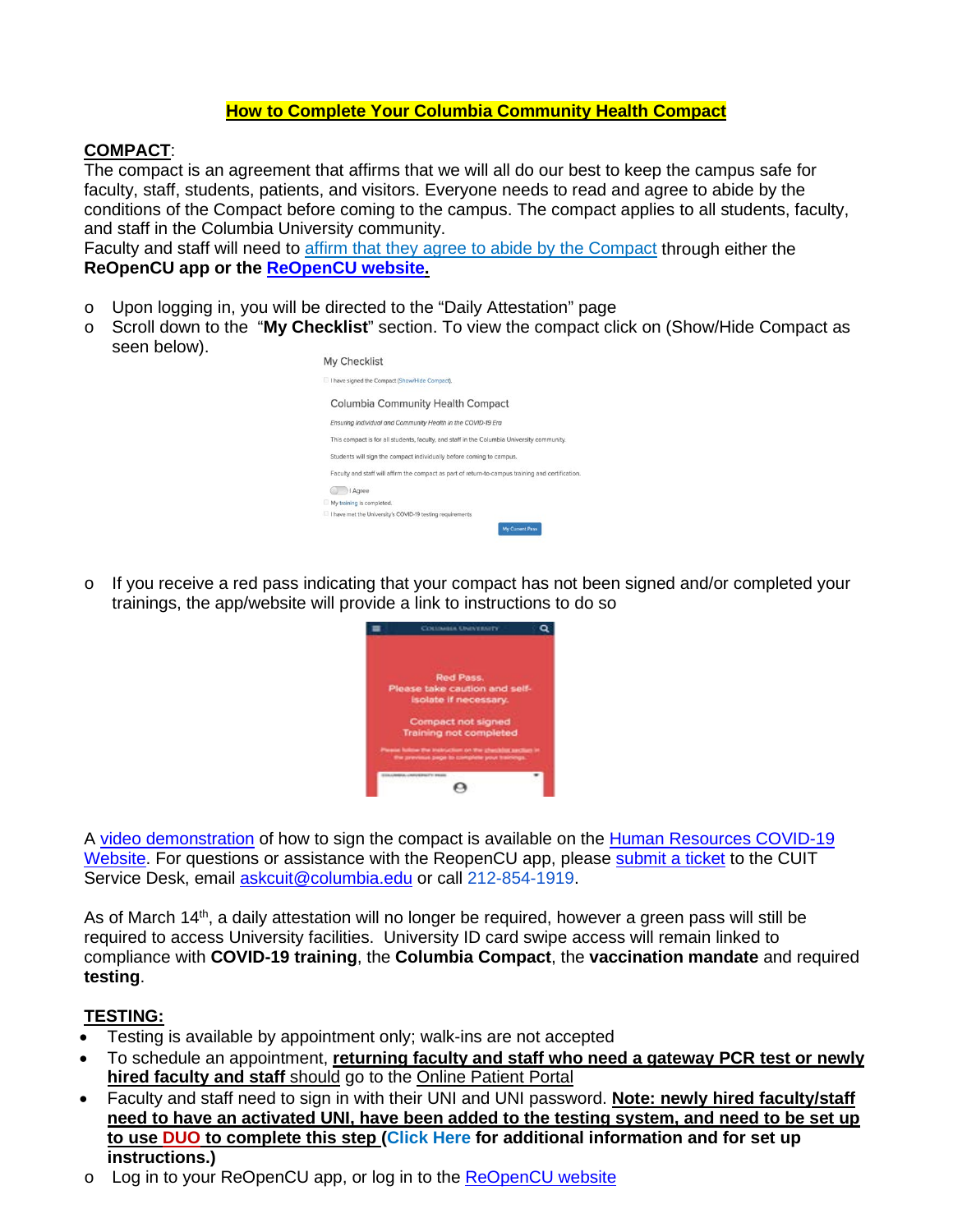## **How to Complete Your Columbia Community Health Compact**

### **COMPACT**:

The compact is an agreement that affirms that we will all do our best to keep the campus safe for faculty, staff, students, patients, and visitors. Everyone needs to read and agree to abide by the conditions of the Compact before coming to the campus. The compact applies to all students, faculty, and staff in the Columbia University community.

Faculty and staff will need to [affirm that they agree to abide by the Compact](https://covid19.columbia.edu/health-compact#/text-2805) through either the **ReOpenCU app or the [ReOpenCU website.](https://reopencu.covid19.columbia.edu/)**

- o Upon logging in, you will be directed to the "Daily Attestation" page
- o Scroll down to the "**My Checklist**" section. To view the compact click on (Show/Hide Compact as seen below).



 $\circ$  If you receive a red pass indicating that your compact has not been signed and/or completed your trainings, the app/website will provide a link to instructions to do so



A [video demonstration](https://www.youtube.com/watch?v=yFIdVy2MAo0&feature=emb_logo) of how to sign the compact is available on the Human Resources COVID-19 [Website.](https://humanresources.columbia.edu/covid19) For questions or assistance with the ReopenCU app, please [submit a ticket](https://urldefense.proofpoint.com/v2/url?u=https-3A__columbia.service-2Dnow.com_cu-3Fid-3Dsc-5Fcat-5Fitem-5Fcu-26sys-5Fid-3D37db3f5013ba920006c376022244b0be&d=DwMFAg&c=G2MiLlal7SXE3PeSnG8W6_JBU6FcdVjSsBSbw6gcR0U&r=ZIIPCUGlyOUv0RFXhjVgAs_BpiND_vQ9PI4Hz86UqaY&m=bPNFBVMFBFE2zQWvA-vFPiZ60vVVzMycl1aX6-UX-0A&s=K-5BvumnkQny6tA4XIr7SKIn2iBG9dN7IE44_W9ix7A&e=) to the CUIT Service Desk, email [askcuit@columbia.edu](mailto:askcuit@columbia.edu) or call 212-854-1919.

As of March 14<sup>th</sup>, a daily attestation will no longer be required, however a green pass will still be required to access University facilities. University ID card swipe access will remain linked to compliance with **COVID-19 training**, the **Columbia Compact**, the **vaccination mandate** and required **testing**.

### **TESTING:**

- Testing is available by appointment only; walk-ins are not accepted
- To schedule an appointment, **returning faculty and staff who need a gateway PCR test or newly hired faculty and staff** should go to the [Online Patient Portal](http://secure.health.columbia.edu/)
- Faculty and staff need to sign in with their UNI and UNI password. **Note: newly hired faculty/staff need to have an activated UNI, have been added to the testing system, and need to be set up to use DUO to complete this step [\(Click Here](https://cuit.columbia.edu/mfa) for additional information and for set up instructions.)**
- o Log in to your ReOpenCU app, or log in to the [ReOpenCU website](https://reopencu.covid19.columbia.edu/)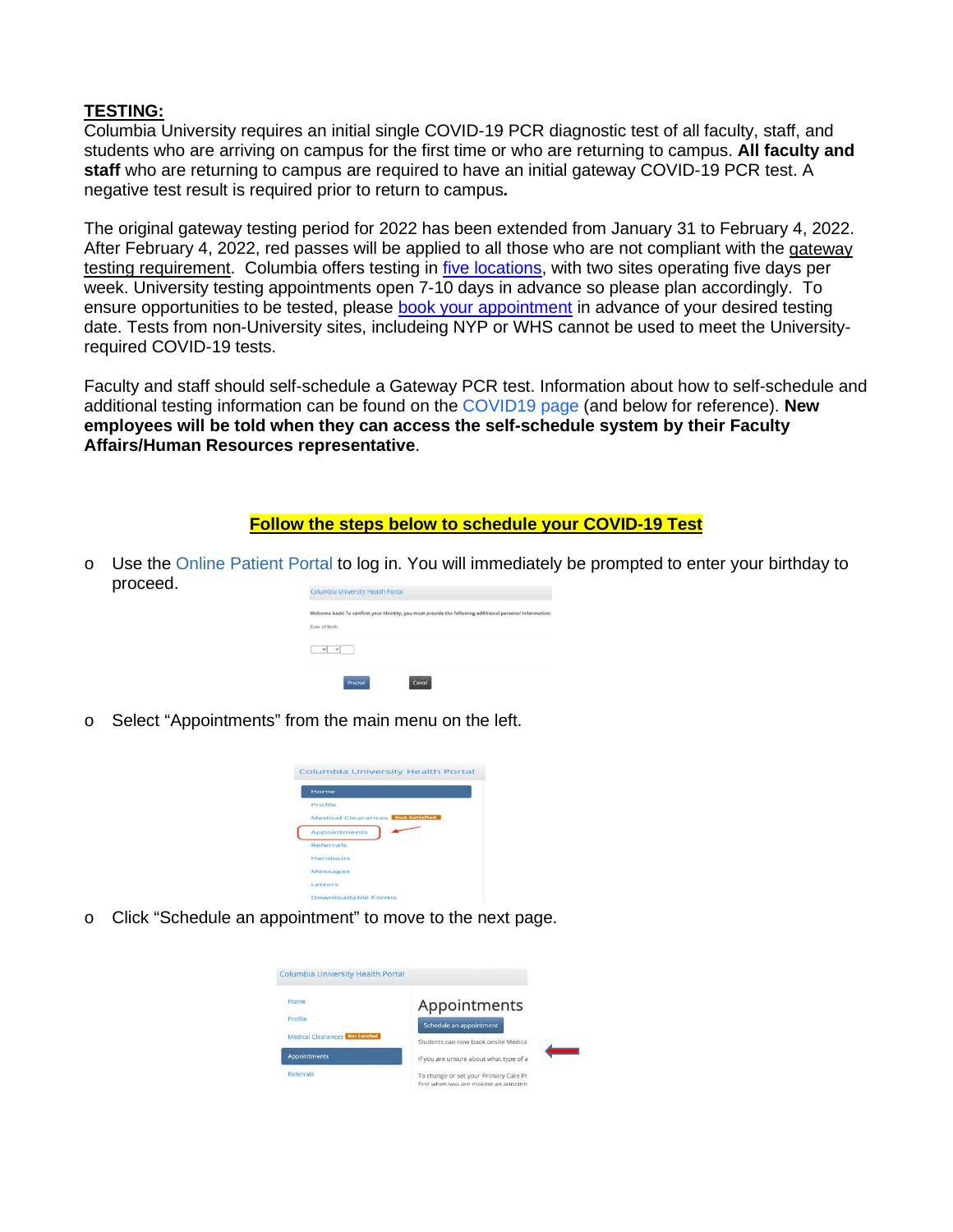# **TESTING:**

Columbia University requires an initial single COVID-19 PCR diagnostic test of all faculty, staff, and students who are arriving on campus for the first time or who are returning to campus. **All faculty and staff** who are returning to campus are required to have an initial gateway COVID-19 PCR test. A negative test result is required prior to return to campus*.*

The original gateway testing period for 2022 has been extended from January 31 to February 4, 2022. After February 4, 2022, red passes will be applied to all those who are not compliant with the gateway [testing requirement.](https://covid19.columbia.edu/content/covid-19-testing-program-spring-2022) Columbia offers testing in [five locations,](https://covid19.columbia.edu/content/covid-19-testing-program-spring-2022) with two sites operating five days per week. University testing appointments open 7-10 days in advance so please plan accordingly. To ensure opportunities to be tested, please [book your appointment](https://secure.health.columbia.edu/) in advance of your desired testing date. Tests from non-University sites, includeing NYP or WHS cannot be used to meet the Universityrequired COVID-19 tests.

Faculty and staff should self-schedule a Gateway PCR test. Information about how to self-schedule and additional testing information can be found on the [COVID19 page](https://covid19.columbia.edu/content/covid-19-testing-process) (and below for reference). **New employees will be told when they can access the self-schedule system by their Faculty Affairs/Human Resources representative**.

#### **Follow the steps below to schedule your COVID-19 Test**

o Use the [Online Patient Portal](https://secure.health.columbia.edu/confirm.aspx) to log in. You will immediately be prompted to enter your birthday to proceed.



o Select "Appointments" from the main menu on the left.



o Click "Schedule an appointment" to move to the next page.

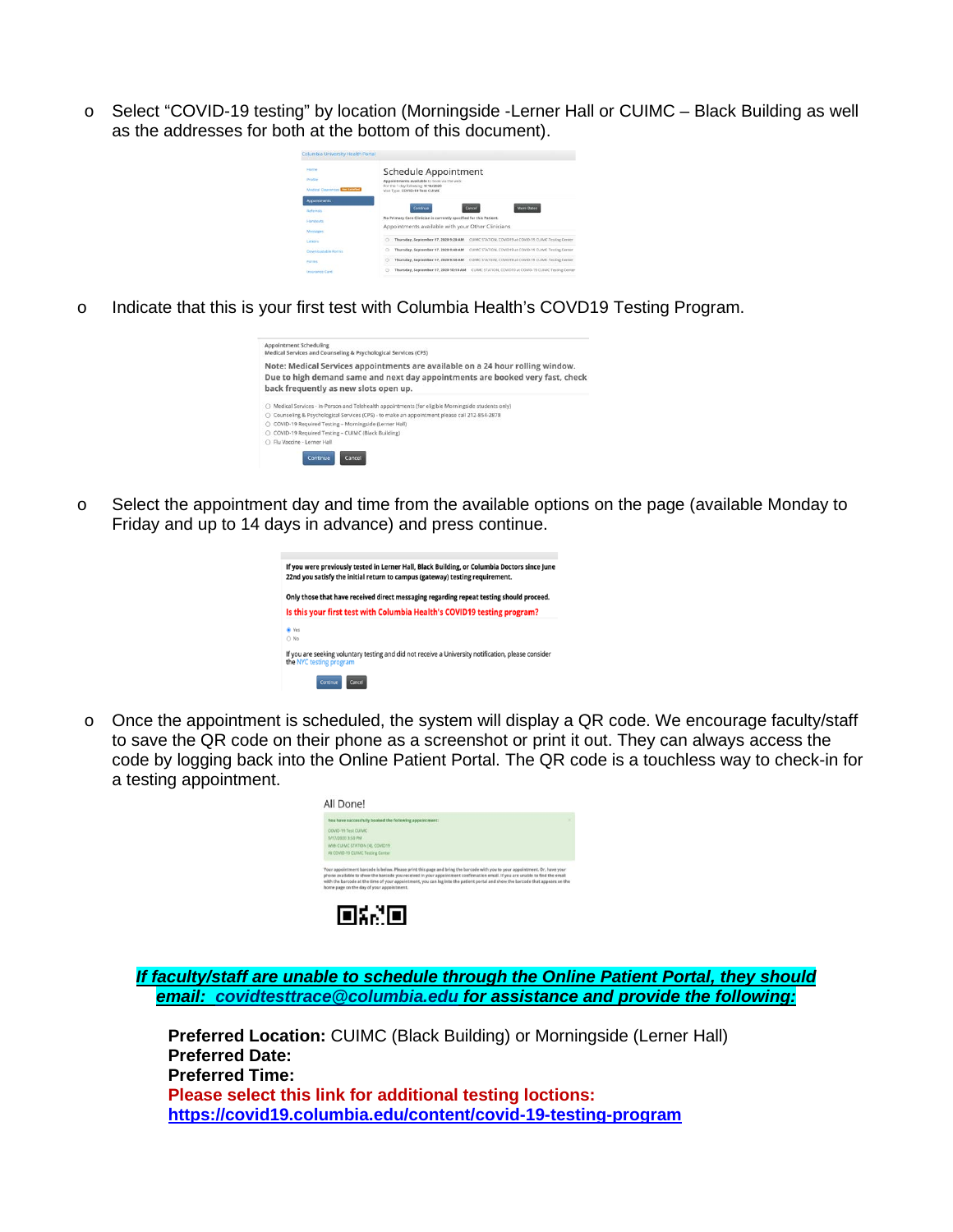o Select "COVID-19 testing" by location (Morningside -Lerner Hall or CUIMC – Black Building as well as the addresses for both at the bottom of this document).



o Indicate that this is your first test with Columbia Health's COVD19 Testing Program.



o Select the appointment day and time from the available options on the page (available Monday to Friday and up to 14 days in advance) and press continue.



 $\circ$  Once the appointment is scheduled, the system will display a QR code. We encourage faculty/staff to save the QR code on their phone as a screenshot or print it out. They can always access the code by logging back into the Online Patient Portal. The QR code is a touchless way to check-in for a testing appointment.

|                     | You have successfully booked the following appointment:                                                                                                                                                                                                                                                                                                                                                                                    |
|---------------------|--------------------------------------------------------------------------------------------------------------------------------------------------------------------------------------------------------------------------------------------------------------------------------------------------------------------------------------------------------------------------------------------------------------------------------------------|
| COVID-19 Test CUIMC |                                                                                                                                                                                                                                                                                                                                                                                                                                            |
| 9/17/2020 3:50 PM   |                                                                                                                                                                                                                                                                                                                                                                                                                                            |
|                     | With CUIMC STATION (4), COVID19                                                                                                                                                                                                                                                                                                                                                                                                            |
|                     | At COVID-19 CUIMC Testing Center                                                                                                                                                                                                                                                                                                                                                                                                           |
|                     | Your appointment barcode is below. Please print this page and bring the barcode with you to your appointment. Or, have your<br>phone available to show the barcode you received in your appointment confirmation email. If you are unable to find the email<br>with the barcode at the time of your appointment, you can log into the patient portal and show the barcode that appears on the<br>home page on the day of your appointment. |

*If faculty/staff are unable to schedule through the Online Patient Portal, they should email: [covidtesttrace@columbia.edu](mailto:covidtesttrace@columbia.edu) for assistance and provide the following:*

**Preferred Location:** CUIMC (Black Building) or Morningside (Lerner Hall) **Preferred Date: Preferred Time: Please select this link for additional testing loctions: <https://covid19.columbia.edu/content/covid-19-testing-program>**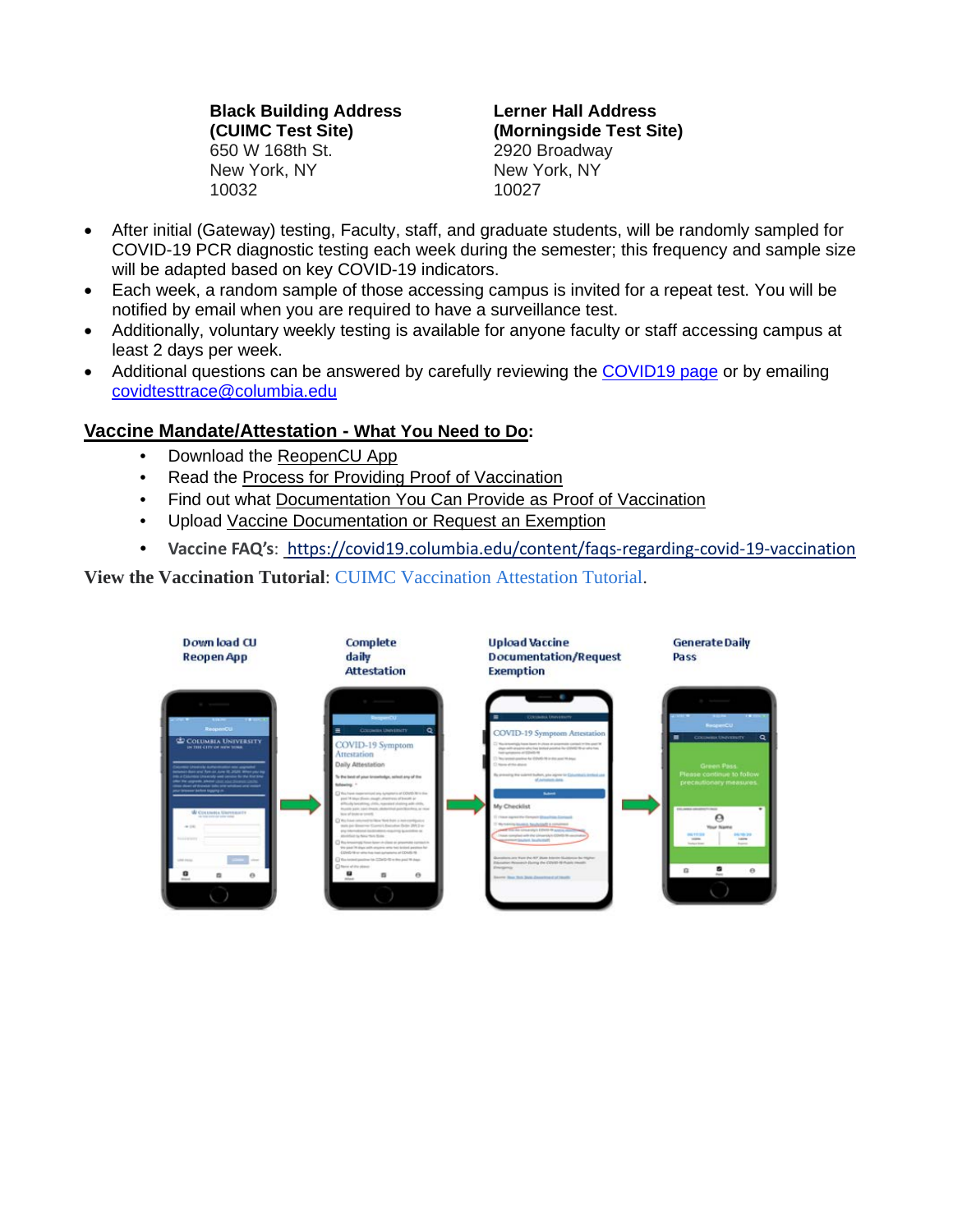**Black Building Address (CUIMC Test Site)** 650 W 168th St. New York, NY 10032

**Lerner Hall Address (Morningside Test Site)** 2920 Broadway New York, NY 10027

- After initial (Gateway) testing, Faculty, staff, and graduate students, will be randomly sampled for COVID-19 PCR diagnostic testing each week during the semester; this frequency and sample size will be adapted based on key COVID-19 indicators.
- Each week, a random sample of those accessing campus is invited for a repeat test. You will be notified by email when you are required to have a surveillance test.
- Additionally, voluntary weekly testing is available for anyone faculty or staff accessing campus at least 2 days per week.
- Additional questions can be answered by carefully reviewing the [COVID19 page](https://covid19.columbia.edu/content/covid-19-testing-process) or by emailing [covidtesttrace@columbia.edu](mailto:covidtesttrace@columbia.edu)

# **Vaccine Mandate/Attestation - What You Need to Do:**

- Download the [ReopenCU](https://urldefense.proofpoint.com/v2/url?u=https-3A__bit.ly_2RULA9C&d=DwMFaQ&c=G2MiLlal7SXE3PeSnG8W6_JBU6FcdVjSsBSbw6gcR0U&r=ZIIPCUGlyOUv0RFXhjVgAs_BpiND_vQ9PI4Hz86UqaY&m=dj8_2QxrcixYWYH6VdKFOBGYCS7CJRhrLWsXmyBwH-Q&s=KPXHnKkr91Pcm4X8uE4W72uzhuOEZDO_xmHL98lKLhY&e=) [App](https://urldefense.proofpoint.com/v2/url?u=https-3A__bit.ly_2RULA9C&d=DwMFaQ&c=G2MiLlal7SXE3PeSnG8W6_JBU6FcdVjSsBSbw6gcR0U&r=ZIIPCUGlyOUv0RFXhjVgAs_BpiND_vQ9PI4Hz86UqaY&m=dj8_2QxrcixYWYH6VdKFOBGYCS7CJRhrLWsXmyBwH-Q&s=KPXHnKkr91Pcm4X8uE4W72uzhuOEZDO_xmHL98lKLhY&e=)
- Read the [Process for Providing Proof of Vaccination](https://urldefense.proofpoint.com/v2/url?u=https-3A__bit.ly_3yYiHKm&d=DwMFaQ&c=G2MiLlal7SXE3PeSnG8W6_JBU6FcdVjSsBSbw6gcR0U&r=ZIIPCUGlyOUv0RFXhjVgAs_BpiND_vQ9PI4Hz86UqaY&m=dj8_2QxrcixYWYH6VdKFOBGYCS7CJRhrLWsXmyBwH-Q&s=35BzhflZe20zI9XSQnEztrI4daRf4Hw_LdaGzoa5NL4&e=)
- Find out what [Documentation You Can Provide as Proof of Vaccination](https://urldefense.proofpoint.com/v2/url?u=https-3A__bit.ly_3g3woyU&d=DwMFaQ&c=G2MiLlal7SXE3PeSnG8W6_JBU6FcdVjSsBSbw6gcR0U&r=ZIIPCUGlyOUv0RFXhjVgAs_BpiND_vQ9PI4Hz86UqaY&m=dj8_2QxrcixYWYH6VdKFOBGYCS7CJRhrLWsXmyBwH-Q&s=4o2bsmchGGh9GJfkChIyqypQG9ogX4tFfqX6zYJ_gGM&e=)
- Upload [Vaccine Documentation or Request an Exemption](https://urldefense.proofpoint.com/v2/url?u=https-3A__bit.ly_3i9r1kh&d=DwMFaQ&c=G2MiLlal7SXE3PeSnG8W6_JBU6FcdVjSsBSbw6gcR0U&r=ZIIPCUGlyOUv0RFXhjVgAs_BpiND_vQ9PI4Hz86UqaY&m=dj8_2QxrcixYWYH6VdKFOBGYCS7CJRhrLWsXmyBwH-Q&s=mTmnR1gyMWPl60FpcjL1zHuOVOr5-m4BwaauCnN5yE0&e=)
- **Vaccine FAQ's**:<https://covid19.columbia.edu/content/faqs-regarding-covid-19-vaccination>

**View the Vaccination Tutorial**: [CUIMC Vaccination Attestation Tutorial.](https://covid19.columbia.edu/content/cuimc-vaccination-attestation-tutorial-1)